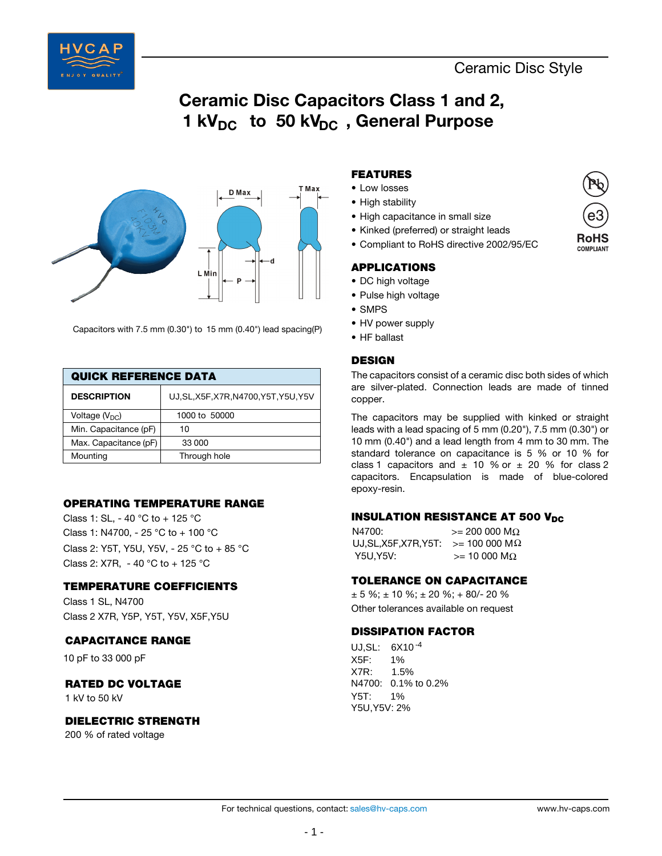



Capacitors with 7.5 mm (0.30") to 15 mm (0.40") lead spacing(P)

| <b>QUICK REFERENCE DATA</b> |                                        |  |  |  |  |  |  |
|-----------------------------|----------------------------------------|--|--|--|--|--|--|
| <b>DESCRIPTION</b>          | UJ, SL, X5F, X7R, N4700, Y5T, Y5U, Y5V |  |  |  |  |  |  |
| Voltage $(VDC)$             | 1000 to 50000                          |  |  |  |  |  |  |
| Min. Capacitance (pF)       | 10                                     |  |  |  |  |  |  |
| Max. Capacitance (pF)       | 33 000                                 |  |  |  |  |  |  |
| Mounting                    | Through hole                           |  |  |  |  |  |  |

# **OPERATING TEMPERATURE RANGE**

Class 2: X7R, - 40 °C to + 125 °C Class 2: Y5T, Y5U, Y5V, - 25 °C to + 85 °C Class 1: SL, - 40 °C to + 125 °C Class 1: N4700, - 25 °C to + 100 °C

#### **TEMPERATURE COEFFICIENTS**

Class 2 X7R, Y5P, Y5T, Y5V, X5F,Y5U Class 1 SL, N4700

#### **CAPACITANCE RANGE**

10 pF to 33 000 pF

# **RATED DC VOLTAGE**

1 kV to 50 kV

## **DIELECTRIC STRENGTH**

200 % of rated voltage

# **FEATURES**

- Low losses
- High stability
- High capacitance in small size
- Kinked (preferred) or straight leads
- Compliant to RoHS directive 2002/95/EC

### **APPLICATIONS**

- DC high voltage
- Pulse high voltage
- SMPS
- HV power supply
- HF ballast

### **DESIGN**

The capacitors consist of a ceramic disc both sides of which are silver-plated. Connection leads are made of tinned copper.

The capacitors may be supplied with kinked or straight leads with a lead spacing of 5 mm (0.20"), 7.5 mm (0.30") or 10 mm (0.40") and a lead length from 4 mm to 30 mm. The standard tolerance on capacitance is 5 % or 10 % for class 1 capacitors and  $\pm$  10 % or  $\pm$  20 % for class 2 capacitors. Encapsulation is made of blue-colored epoxy-resin.

#### **INSULATION RESISTANCE AT 500 V<sub>DC</sub>**

| N4700:                                         | $>= 200,000,MO$    |
|------------------------------------------------|--------------------|
| UJ, SL, X5F, X7R, Y5T: $> = 100000$ M $\Omega$ |                    |
| Y5U.Y5V:                                       | $>= 10000 M\Omega$ |

# **TOLERANCE ON CAPACITANCE**

 $\pm$  5 %;  $\pm$  10 %;  $\pm$  20 %;  $+$  80/- 20 % Other tolerances available on request

# **DISSIPATION FACTOR**

UJ,SL: 6X10 -4 X5F: 1%<br>X7R: 1.5% X7R: 1.5% N4700: 0.1% to 0.2% Y5T: 1% Y5U,Y5V: 2%

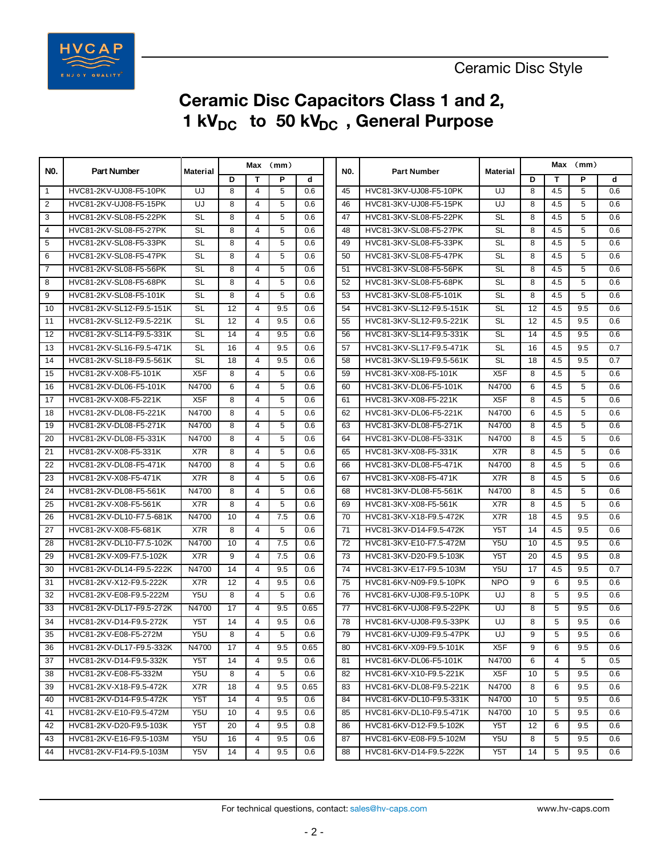

# **Ceramic Disc Capacitors Class 1 and 2, 1 kV<sub>DC</sub>** to 50 kV<sub>DC</sub>, General Purpose

| NO.<br><b>Part Number</b><br><b>NO.</b><br><b>Material</b><br><b>Part Number</b><br>Material<br>D<br>P<br>D<br>т<br>d<br>т<br>5<br>8<br>HVC81-2KV-UJ08-F5-10PK<br>UJ<br>8<br>$\overline{4}$<br>0.6<br>HVC81-3KV-UJ08-F5-10PK<br>UJ<br>4.5<br>$\mathbf{1}$<br>45<br>$\overline{2}$<br>HVC81-2KV-UJ08-F5-15PK<br>UJ<br>8<br>$\overline{4}$<br>5<br>HVC81-3KV-UJ08-F5-15PK<br>UJ<br>8<br>4.5<br>0.6<br>46<br>5<br>3<br>HVC81-2KV-SL08-F5-22PK<br>8<br>$\overline{4}$<br>47<br>HVC81-3KV-SL08-F5-22PK<br><b>SL</b><br>8<br>4.5<br>SL<br>0.6<br>HVC81-2KV-SL08-F5-27PK<br>HVC81-3KV-SL08-F5-27PK<br>$\overline{4}$<br><b>SL</b><br>8<br>5<br><b>SL</b><br>8<br>4.5<br>4<br>0.6<br>48<br>HVC81-2KV-SL08-F5-33PK<br>5<br>HVC81-3KV-SL08-F5-33PK<br>8<br>5<br><b>SL</b><br>8<br>$\overline{4}$<br>49<br><b>SL</b><br>4.5<br>0.6<br>HVC81-2KV-SL08-F5-47PK<br><b>SL</b><br>8<br>5<br>HVC81-3KV-SL08-F5-47PK<br><b>SL</b><br>8<br>4.5<br>6<br>4<br>0.6<br>50<br>5<br>$\overline{7}$<br>HVC81-2KV-SL08-F5-56PK<br><b>SL</b><br>8<br>HVC81-3KV-SL08-F5-56PK<br><b>SL</b><br>8<br>4.5<br>4<br>0.6<br>51<br>5<br>8<br>HVC81-2KV-SL08-F5-68PK<br><b>SL</b><br>8<br>0.6<br>52<br>HVC81-3KV-SL08-F5-68PK<br><b>SL</b><br>8<br>4.5<br>4<br>HVC81-2KV-SL08-F5-101K<br>5<br>HVC81-3KV-SL08-F5-101K<br>9<br><b>SL</b><br>8<br>0.6<br>53<br><b>SL</b><br>8<br>4.5<br>4<br>HVC81-2KV-SL12-F9.5-151K<br><b>SL</b><br>9.5<br>54<br>HVC81-3KV-SL12-F9.5-151K<br><b>SL</b><br>12<br>4.5<br>10<br>12<br>4<br>0.6<br>HVC81-2KV-SL12-F9.5-221K<br><b>SL</b><br>12<br>$\overline{4}$<br>9.5<br>0.6<br>55<br>HVC81-3KV-SL12-F9.5-221K<br><b>SL</b><br>12<br>4.5<br>11<br>HVC81-2KV-SL14-F9.5-331K<br><b>SL</b><br>9.5<br>HVC81-3KV-SL14-F9.5-331K<br><b>SL</b><br>4<br>0.6<br>56<br>14<br>4.5<br>12<br>14<br>HVC81-2KV-SL16-F9.5-471K<br><b>SL</b><br>9.5<br>HVC81-3KV-SL17-F9.5-471K<br>13<br>16<br>4<br>0.6<br>57<br>SL<br>16<br>4.5<br><b>SL</b><br>HVC81-2KV-SL18-F9.5-561K<br>9.5<br>HVC81-3KV-SL19-F9.5-561K<br><b>SL</b><br>18<br>4<br>0.6<br>58<br>18<br>4.5<br>14<br>X <sub>5</sub> F<br>X <sub>5</sub> F<br>HVC81-2KV-X08-F5-101K<br>5<br>0.6<br>HVC81-3KV-X08-F5-101K<br>8<br>15<br>8<br>4<br>59<br>4.5<br>HVC81-2KV-DL06-F5-101K<br>N4700<br>6<br>5<br>HVC81-3KV-DL06-F5-101K<br>N4700<br>6<br>16<br>4<br>0.6<br>60<br>4.5<br>17<br>HVC81-2KV-X08-F5-221K<br>X <sub>5</sub> F<br>8<br>5<br>HVC81-3KV-X08-F5-221K<br>X <sub>5</sub> F<br>8<br>4<br>0.6<br>61<br>4.5<br>HVC81-2KV-DL08-F5-221K<br>N4700<br>8<br>5<br>HVC81-3KV-DL06-F5-221K<br>N4700<br>6<br>18<br>4<br>0.6<br>62<br>4.5<br>HVC81-2KV-DL08-F5-271K<br>N4700<br>8<br>5<br>HVC81-3KV-DL08-F5-271K<br>N4700<br>8<br>19<br>4<br>0.6<br>63<br>4.5<br>5<br>HVC81-2KV-DL08-F5-331K<br>N4700<br>8<br>HVC81-3KV-DL08-F5-331K<br>N4700<br>8<br>20<br>4<br>0.6<br>64<br>4.5<br>21<br>HVC81-2KV-X08-F5-331K<br>X7R<br>8<br>5<br>HVC81-3KV-X08-F5-331K<br>X7R<br>8<br>4.5<br>4<br>0.6<br>65 | $Max$ (mm) |  |  |  |
|--------------------------------------------------------------------------------------------------------------------------------------------------------------------------------------------------------------------------------------------------------------------------------------------------------------------------------------------------------------------------------------------------------------------------------------------------------------------------------------------------------------------------------------------------------------------------------------------------------------------------------------------------------------------------------------------------------------------------------------------------------------------------------------------------------------------------------------------------------------------------------------------------------------------------------------------------------------------------------------------------------------------------------------------------------------------------------------------------------------------------------------------------------------------------------------------------------------------------------------------------------------------------------------------------------------------------------------------------------------------------------------------------------------------------------------------------------------------------------------------------------------------------------------------------------------------------------------------------------------------------------------------------------------------------------------------------------------------------------------------------------------------------------------------------------------------------------------------------------------------------------------------------------------------------------------------------------------------------------------------------------------------------------------------------------------------------------------------------------------------------------------------------------------------------------------------------------------------------------------------------------------------------------------------------------------------------------------------------------------------------------------------------------------------------------------------------------------------------------------------------------------------------------------------------------------------------------------------------------------------------------------------------------------------------------------------------------------------------------------------------------------------------------------------------------------------------------------------------------------------------------------------------------------------------|------------|--|--|--|
|                                                                                                                                                                                                                                                                                                                                                                                                                                                                                                                                                                                                                                                                                                                                                                                                                                                                                                                                                                                                                                                                                                                                                                                                                                                                                                                                                                                                                                                                                                                                                                                                                                                                                                                                                                                                                                                                                                                                                                                                                                                                                                                                                                                                                                                                                                                                                                                                                                                                                                                                                                                                                                                                                                                                                                                                                                                                                                                          | P<br>d     |  |  |  |
|                                                                                                                                                                                                                                                                                                                                                                                                                                                                                                                                                                                                                                                                                                                                                                                                                                                                                                                                                                                                                                                                                                                                                                                                                                                                                                                                                                                                                                                                                                                                                                                                                                                                                                                                                                                                                                                                                                                                                                                                                                                                                                                                                                                                                                                                                                                                                                                                                                                                                                                                                                                                                                                                                                                                                                                                                                                                                                                          | 5<br>0.6   |  |  |  |
|                                                                                                                                                                                                                                                                                                                                                                                                                                                                                                                                                                                                                                                                                                                                                                                                                                                                                                                                                                                                                                                                                                                                                                                                                                                                                                                                                                                                                                                                                                                                                                                                                                                                                                                                                                                                                                                                                                                                                                                                                                                                                                                                                                                                                                                                                                                                                                                                                                                                                                                                                                                                                                                                                                                                                                                                                                                                                                                          | 5<br>0.6   |  |  |  |
|                                                                                                                                                                                                                                                                                                                                                                                                                                                                                                                                                                                                                                                                                                                                                                                                                                                                                                                                                                                                                                                                                                                                                                                                                                                                                                                                                                                                                                                                                                                                                                                                                                                                                                                                                                                                                                                                                                                                                                                                                                                                                                                                                                                                                                                                                                                                                                                                                                                                                                                                                                                                                                                                                                                                                                                                                                                                                                                          | 5<br>0.6   |  |  |  |
|                                                                                                                                                                                                                                                                                                                                                                                                                                                                                                                                                                                                                                                                                                                                                                                                                                                                                                                                                                                                                                                                                                                                                                                                                                                                                                                                                                                                                                                                                                                                                                                                                                                                                                                                                                                                                                                                                                                                                                                                                                                                                                                                                                                                                                                                                                                                                                                                                                                                                                                                                                                                                                                                                                                                                                                                                                                                                                                          | 5<br>0.6   |  |  |  |
|                                                                                                                                                                                                                                                                                                                                                                                                                                                                                                                                                                                                                                                                                                                                                                                                                                                                                                                                                                                                                                                                                                                                                                                                                                                                                                                                                                                                                                                                                                                                                                                                                                                                                                                                                                                                                                                                                                                                                                                                                                                                                                                                                                                                                                                                                                                                                                                                                                                                                                                                                                                                                                                                                                                                                                                                                                                                                                                          | 5<br>0.6   |  |  |  |
|                                                                                                                                                                                                                                                                                                                                                                                                                                                                                                                                                                                                                                                                                                                                                                                                                                                                                                                                                                                                                                                                                                                                                                                                                                                                                                                                                                                                                                                                                                                                                                                                                                                                                                                                                                                                                                                                                                                                                                                                                                                                                                                                                                                                                                                                                                                                                                                                                                                                                                                                                                                                                                                                                                                                                                                                                                                                                                                          | 5<br>0.6   |  |  |  |
|                                                                                                                                                                                                                                                                                                                                                                                                                                                                                                                                                                                                                                                                                                                                                                                                                                                                                                                                                                                                                                                                                                                                                                                                                                                                                                                                                                                                                                                                                                                                                                                                                                                                                                                                                                                                                                                                                                                                                                                                                                                                                                                                                                                                                                                                                                                                                                                                                                                                                                                                                                                                                                                                                                                                                                                                                                                                                                                          | 5<br>0.6   |  |  |  |
|                                                                                                                                                                                                                                                                                                                                                                                                                                                                                                                                                                                                                                                                                                                                                                                                                                                                                                                                                                                                                                                                                                                                                                                                                                                                                                                                                                                                                                                                                                                                                                                                                                                                                                                                                                                                                                                                                                                                                                                                                                                                                                                                                                                                                                                                                                                                                                                                                                                                                                                                                                                                                                                                                                                                                                                                                                                                                                                          | 5<br>0.6   |  |  |  |
|                                                                                                                                                                                                                                                                                                                                                                                                                                                                                                                                                                                                                                                                                                                                                                                                                                                                                                                                                                                                                                                                                                                                                                                                                                                                                                                                                                                                                                                                                                                                                                                                                                                                                                                                                                                                                                                                                                                                                                                                                                                                                                                                                                                                                                                                                                                                                                                                                                                                                                                                                                                                                                                                                                                                                                                                                                                                                                                          | 5<br>0.6   |  |  |  |
|                                                                                                                                                                                                                                                                                                                                                                                                                                                                                                                                                                                                                                                                                                                                                                                                                                                                                                                                                                                                                                                                                                                                                                                                                                                                                                                                                                                                                                                                                                                                                                                                                                                                                                                                                                                                                                                                                                                                                                                                                                                                                                                                                                                                                                                                                                                                                                                                                                                                                                                                                                                                                                                                                                                                                                                                                                                                                                                          | 9.5<br>0.6 |  |  |  |
|                                                                                                                                                                                                                                                                                                                                                                                                                                                                                                                                                                                                                                                                                                                                                                                                                                                                                                                                                                                                                                                                                                                                                                                                                                                                                                                                                                                                                                                                                                                                                                                                                                                                                                                                                                                                                                                                                                                                                                                                                                                                                                                                                                                                                                                                                                                                                                                                                                                                                                                                                                                                                                                                                                                                                                                                                                                                                                                          | 9.5<br>0.6 |  |  |  |
|                                                                                                                                                                                                                                                                                                                                                                                                                                                                                                                                                                                                                                                                                                                                                                                                                                                                                                                                                                                                                                                                                                                                                                                                                                                                                                                                                                                                                                                                                                                                                                                                                                                                                                                                                                                                                                                                                                                                                                                                                                                                                                                                                                                                                                                                                                                                                                                                                                                                                                                                                                                                                                                                                                                                                                                                                                                                                                                          | 9.5<br>0.6 |  |  |  |
|                                                                                                                                                                                                                                                                                                                                                                                                                                                                                                                                                                                                                                                                                                                                                                                                                                                                                                                                                                                                                                                                                                                                                                                                                                                                                                                                                                                                                                                                                                                                                                                                                                                                                                                                                                                                                                                                                                                                                                                                                                                                                                                                                                                                                                                                                                                                                                                                                                                                                                                                                                                                                                                                                                                                                                                                                                                                                                                          | 9.5<br>0.7 |  |  |  |
|                                                                                                                                                                                                                                                                                                                                                                                                                                                                                                                                                                                                                                                                                                                                                                                                                                                                                                                                                                                                                                                                                                                                                                                                                                                                                                                                                                                                                                                                                                                                                                                                                                                                                                                                                                                                                                                                                                                                                                                                                                                                                                                                                                                                                                                                                                                                                                                                                                                                                                                                                                                                                                                                                                                                                                                                                                                                                                                          | 9.5<br>0.7 |  |  |  |
|                                                                                                                                                                                                                                                                                                                                                                                                                                                                                                                                                                                                                                                                                                                                                                                                                                                                                                                                                                                                                                                                                                                                                                                                                                                                                                                                                                                                                                                                                                                                                                                                                                                                                                                                                                                                                                                                                                                                                                                                                                                                                                                                                                                                                                                                                                                                                                                                                                                                                                                                                                                                                                                                                                                                                                                                                                                                                                                          | 5<br>0.6   |  |  |  |
|                                                                                                                                                                                                                                                                                                                                                                                                                                                                                                                                                                                                                                                                                                                                                                                                                                                                                                                                                                                                                                                                                                                                                                                                                                                                                                                                                                                                                                                                                                                                                                                                                                                                                                                                                                                                                                                                                                                                                                                                                                                                                                                                                                                                                                                                                                                                                                                                                                                                                                                                                                                                                                                                                                                                                                                                                                                                                                                          | 5<br>0.6   |  |  |  |
|                                                                                                                                                                                                                                                                                                                                                                                                                                                                                                                                                                                                                                                                                                                                                                                                                                                                                                                                                                                                                                                                                                                                                                                                                                                                                                                                                                                                                                                                                                                                                                                                                                                                                                                                                                                                                                                                                                                                                                                                                                                                                                                                                                                                                                                                                                                                                                                                                                                                                                                                                                                                                                                                                                                                                                                                                                                                                                                          | 5<br>0.6   |  |  |  |
|                                                                                                                                                                                                                                                                                                                                                                                                                                                                                                                                                                                                                                                                                                                                                                                                                                                                                                                                                                                                                                                                                                                                                                                                                                                                                                                                                                                                                                                                                                                                                                                                                                                                                                                                                                                                                                                                                                                                                                                                                                                                                                                                                                                                                                                                                                                                                                                                                                                                                                                                                                                                                                                                                                                                                                                                                                                                                                                          | 5<br>0.6   |  |  |  |
|                                                                                                                                                                                                                                                                                                                                                                                                                                                                                                                                                                                                                                                                                                                                                                                                                                                                                                                                                                                                                                                                                                                                                                                                                                                                                                                                                                                                                                                                                                                                                                                                                                                                                                                                                                                                                                                                                                                                                                                                                                                                                                                                                                                                                                                                                                                                                                                                                                                                                                                                                                                                                                                                                                                                                                                                                                                                                                                          | 5<br>0.6   |  |  |  |
|                                                                                                                                                                                                                                                                                                                                                                                                                                                                                                                                                                                                                                                                                                                                                                                                                                                                                                                                                                                                                                                                                                                                                                                                                                                                                                                                                                                                                                                                                                                                                                                                                                                                                                                                                                                                                                                                                                                                                                                                                                                                                                                                                                                                                                                                                                                                                                                                                                                                                                                                                                                                                                                                                                                                                                                                                                                                                                                          | 5<br>0.6   |  |  |  |
|                                                                                                                                                                                                                                                                                                                                                                                                                                                                                                                                                                                                                                                                                                                                                                                                                                                                                                                                                                                                                                                                                                                                                                                                                                                                                                                                                                                                                                                                                                                                                                                                                                                                                                                                                                                                                                                                                                                                                                                                                                                                                                                                                                                                                                                                                                                                                                                                                                                                                                                                                                                                                                                                                                                                                                                                                                                                                                                          | 5<br>0.6   |  |  |  |
| 22<br>HVC81-2KV-DL08-F5-471K<br>N4700<br>5<br>HVC81-3KV-DL08-F5-471K<br>N4700<br>8<br>8<br>4<br>0.6<br>66<br>4.5                                                                                                                                                                                                                                                                                                                                                                                                                                                                                                                                                                                                                                                                                                                                                                                                                                                                                                                                                                                                                                                                                                                                                                                                                                                                                                                                                                                                                                                                                                                                                                                                                                                                                                                                                                                                                                                                                                                                                                                                                                                                                                                                                                                                                                                                                                                                                                                                                                                                                                                                                                                                                                                                                                                                                                                                         | 5<br>0.6   |  |  |  |
| HVC81-2KV-X08-F5-471K<br>X7R<br>5<br>HVC81-3KV-X08-F5-471K<br>X7R<br>8<br>23<br>8<br>4<br>0.6<br>67<br>4.5                                                                                                                                                                                                                                                                                                                                                                                                                                                                                                                                                                                                                                                                                                                                                                                                                                                                                                                                                                                                                                                                                                                                                                                                                                                                                                                                                                                                                                                                                                                                                                                                                                                                                                                                                                                                                                                                                                                                                                                                                                                                                                                                                                                                                                                                                                                                                                                                                                                                                                                                                                                                                                                                                                                                                                                                               | 5<br>0.6   |  |  |  |
| HVC81-2KV-DL08-F5-561K<br>N4700<br>5<br>HVC81-3KV-DL08-F5-561K<br>N4700<br>8<br>24<br>8<br>4<br>0.6<br>68<br>4.5                                                                                                                                                                                                                                                                                                                                                                                                                                                                                                                                                                                                                                                                                                                                                                                                                                                                                                                                                                                                                                                                                                                                                                                                                                                                                                                                                                                                                                                                                                                                                                                                                                                                                                                                                                                                                                                                                                                                                                                                                                                                                                                                                                                                                                                                                                                                                                                                                                                                                                                                                                                                                                                                                                                                                                                                         | 5<br>0.6   |  |  |  |
| 25<br>HVC81-2KV-X08-F5-561K<br>X7R<br>8<br>5<br>69<br>HVC81-3KV-X08-F5-561K<br>X7R<br>8<br>4.5<br>4<br>0.6                                                                                                                                                                                                                                                                                                                                                                                                                                                                                                                                                                                                                                                                                                                                                                                                                                                                                                                                                                                                                                                                                                                                                                                                                                                                                                                                                                                                                                                                                                                                                                                                                                                                                                                                                                                                                                                                                                                                                                                                                                                                                                                                                                                                                                                                                                                                                                                                                                                                                                                                                                                                                                                                                                                                                                                                               | 5<br>0.6   |  |  |  |
| X7R<br>26<br>HVC81-2KV-DL10-F7.5-681K<br>N4700<br>10<br>7.5<br>70<br>HVC81-3KV-X18-F9.5-472K<br>18<br>4.5<br>4<br>0.6                                                                                                                                                                                                                                                                                                                                                                                                                                                                                                                                                                                                                                                                                                                                                                                                                                                                                                                                                                                                                                                                                                                                                                                                                                                                                                                                                                                                                                                                                                                                                                                                                                                                                                                                                                                                                                                                                                                                                                                                                                                                                                                                                                                                                                                                                                                                                                                                                                                                                                                                                                                                                                                                                                                                                                                                    | 9.5<br>0.6 |  |  |  |
| Y <sub>5</sub> T<br>27<br>HVC81-2KV-X08-F5-681K<br>X7R<br>8<br>5<br>71<br>HVC81-3KV-D14-F9.5-472K<br>14<br>4.5<br>4<br>0.6                                                                                                                                                                                                                                                                                                                                                                                                                                                                                                                                                                                                                                                                                                                                                                                                                                                                                                                                                                                                                                                                                                                                                                                                                                                                                                                                                                                                                                                                                                                                                                                                                                                                                                                                                                                                                                                                                                                                                                                                                                                                                                                                                                                                                                                                                                                                                                                                                                                                                                                                                                                                                                                                                                                                                                                               | 9.5<br>0.6 |  |  |  |
| Y <sub>5U</sub><br>28<br>HVC81-2KV-DL10-F7.5-102K<br>N4700<br>10<br>7.5<br>0.6<br>72<br>HVC81-3KV-E10-F7.5-472M<br>10<br>4.5<br>4                                                                                                                                                                                                                                                                                                                                                                                                                                                                                                                                                                                                                                                                                                                                                                                                                                                                                                                                                                                                                                                                                                                                                                                                                                                                                                                                                                                                                                                                                                                                                                                                                                                                                                                                                                                                                                                                                                                                                                                                                                                                                                                                                                                                                                                                                                                                                                                                                                                                                                                                                                                                                                                                                                                                                                                        | 9.5<br>0.6 |  |  |  |
| Y <sub>5</sub> T<br>29<br>HVC81-2KV-X09-F7.5-102K<br>X7R<br>9<br>7.5<br>73<br>HVC81-3KV-D20-F9.5-103K<br>20<br>4.5<br>$\overline{4}$<br>0.6                                                                                                                                                                                                                                                                                                                                                                                                                                                                                                                                                                                                                                                                                                                                                                                                                                                                                                                                                                                                                                                                                                                                                                                                                                                                                                                                                                                                                                                                                                                                                                                                                                                                                                                                                                                                                                                                                                                                                                                                                                                                                                                                                                                                                                                                                                                                                                                                                                                                                                                                                                                                                                                                                                                                                                              | 9.5<br>0.8 |  |  |  |
| Y <sub>5U</sub><br>30<br>HVC81-2KV-DL14-F9.5-222K<br>N4700<br>14<br>$\overline{4}$<br>9.5<br>74<br>HVC81-3KV-E17-F9.5-103M<br>17<br>4.5<br>0.6                                                                                                                                                                                                                                                                                                                                                                                                                                                                                                                                                                                                                                                                                                                                                                                                                                                                                                                                                                                                                                                                                                                                                                                                                                                                                                                                                                                                                                                                                                                                                                                                                                                                                                                                                                                                                                                                                                                                                                                                                                                                                                                                                                                                                                                                                                                                                                                                                                                                                                                                                                                                                                                                                                                                                                           | 9.5<br>0.7 |  |  |  |
| <b>NPO</b><br>9<br>HVC81-2KV-X12-F9.5-222K<br>X7R<br>12<br>$\overline{4}$<br>9.5<br>75<br>HVC81-6KV-N09-F9.5-10PK<br>6<br>31<br>0.6                                                                                                                                                                                                                                                                                                                                                                                                                                                                                                                                                                                                                                                                                                                                                                                                                                                                                                                                                                                                                                                                                                                                                                                                                                                                                                                                                                                                                                                                                                                                                                                                                                                                                                                                                                                                                                                                                                                                                                                                                                                                                                                                                                                                                                                                                                                                                                                                                                                                                                                                                                                                                                                                                                                                                                                      | 9.5<br>0.6 |  |  |  |
| 5<br>32<br>HVC81-2KV-E08-F9.5-222M<br>Y <sub>5U</sub><br>8<br>4<br>76<br>HVC81-6KV-UJ08-F9.5-10PK<br>UJ<br>8<br>5<br>0.6                                                                                                                                                                                                                                                                                                                                                                                                                                                                                                                                                                                                                                                                                                                                                                                                                                                                                                                                                                                                                                                                                                                                                                                                                                                                                                                                                                                                                                                                                                                                                                                                                                                                                                                                                                                                                                                                                                                                                                                                                                                                                                                                                                                                                                                                                                                                                                                                                                                                                                                                                                                                                                                                                                                                                                                                 | 9.5<br>0.6 |  |  |  |
| 33<br>HVC81-2KV-DL17-F9.5-272K<br>N4700<br>17<br>9.5<br>77<br>HVC81-6KV-UJ08-F9.5-22PK<br>UJ<br>8<br>5<br>4<br>0.65                                                                                                                                                                                                                                                                                                                                                                                                                                                                                                                                                                                                                                                                                                                                                                                                                                                                                                                                                                                                                                                                                                                                                                                                                                                                                                                                                                                                                                                                                                                                                                                                                                                                                                                                                                                                                                                                                                                                                                                                                                                                                                                                                                                                                                                                                                                                                                                                                                                                                                                                                                                                                                                                                                                                                                                                      | 9.5<br>0.6 |  |  |  |
| 5<br>34<br>HVC81-2KV-D14-F9.5-272K<br>Y <sub>5</sub> T<br>14<br>4<br>9.5<br>78<br>HVC81-6KV-UJ08-F9.5-33PK<br>UJ<br>8<br>0.6                                                                                                                                                                                                                                                                                                                                                                                                                                                                                                                                                                                                                                                                                                                                                                                                                                                                                                                                                                                                                                                                                                                                                                                                                                                                                                                                                                                                                                                                                                                                                                                                                                                                                                                                                                                                                                                                                                                                                                                                                                                                                                                                                                                                                                                                                                                                                                                                                                                                                                                                                                                                                                                                                                                                                                                             | 9.5<br>0.6 |  |  |  |
| HVC81-2KV-E08-F5-272M<br>Y5U<br>8<br>5<br>79<br>UJ<br>9<br>5<br>35<br>$\overline{4}$<br>0.6<br>HVC81-6KV-UJ09-F9.5-47PK                                                                                                                                                                                                                                                                                                                                                                                                                                                                                                                                                                                                                                                                                                                                                                                                                                                                                                                                                                                                                                                                                                                                                                                                                                                                                                                                                                                                                                                                                                                                                                                                                                                                                                                                                                                                                                                                                                                                                                                                                                                                                                                                                                                                                                                                                                                                                                                                                                                                                                                                                                                                                                                                                                                                                                                                  | 9.5<br>0.6 |  |  |  |
| 9<br>9.5<br>0.65<br>X <sub>5</sub> F<br>6<br>HVC81-2KV-DL17-F9.5-332K<br>N4700<br>17<br>4<br>80<br>HVC81-6KV-X09-F9.5-101K<br>36                                                                                                                                                                                                                                                                                                                                                                                                                                                                                                                                                                                                                                                                                                                                                                                                                                                                                                                                                                                                                                                                                                                                                                                                                                                                                                                                                                                                                                                                                                                                                                                                                                                                                                                                                                                                                                                                                                                                                                                                                                                                                                                                                                                                                                                                                                                                                                                                                                                                                                                                                                                                                                                                                                                                                                                         | 9.5<br>0.6 |  |  |  |
| Y <sub>5</sub> T<br>6<br>$\overline{4}$<br>37<br>HVC81-2KV-D14-F9.5-332K<br>14<br>4<br>9.5<br>0.6<br>81<br>HVC81-6KV-DL06-F5-101K<br>N4700                                                                                                                                                                                                                                                                                                                                                                                                                                                                                                                                                                                                                                                                                                                                                                                                                                                                                                                                                                                                                                                                                                                                                                                                                                                                                                                                                                                                                                                                                                                                                                                                                                                                                                                                                                                                                                                                                                                                                                                                                                                                                                                                                                                                                                                                                                                                                                                                                                                                                                                                                                                                                                                                                                                                                                               | 5<br>0.5   |  |  |  |
| Y <sub>5U</sub><br>8<br>5<br>X <sub>5</sub> F<br>10<br>5<br>HVC81-2KV-E08-F5-332M<br>4<br>0.6<br>82<br>HVC81-6KV-X10-F9.5-221K<br>38                                                                                                                                                                                                                                                                                                                                                                                                                                                                                                                                                                                                                                                                                                                                                                                                                                                                                                                                                                                                                                                                                                                                                                                                                                                                                                                                                                                                                                                                                                                                                                                                                                                                                                                                                                                                                                                                                                                                                                                                                                                                                                                                                                                                                                                                                                                                                                                                                                                                                                                                                                                                                                                                                                                                                                                     | 9.5<br>0.6 |  |  |  |
| X7R<br>8<br>HVC81-2KV-X18-F9.5-472K<br>18<br>9.5<br>N4700<br>6<br>39<br>4<br>0.65<br>83<br>HVC81-6KV-DL08-F9.5-221K                                                                                                                                                                                                                                                                                                                                                                                                                                                                                                                                                                                                                                                                                                                                                                                                                                                                                                                                                                                                                                                                                                                                                                                                                                                                                                                                                                                                                                                                                                                                                                                                                                                                                                                                                                                                                                                                                                                                                                                                                                                                                                                                                                                                                                                                                                                                                                                                                                                                                                                                                                                                                                                                                                                                                                                                      | 9.5<br>0.6 |  |  |  |
| Y5T<br>HVC81-2KV-D14-F9.5-472K<br>14<br>9.5<br>84<br>HVC81-6KV-DL10-F9.5-331K<br>N4700<br>10<br>5<br>40<br>$\overline{4}$<br>0.6                                                                                                                                                                                                                                                                                                                                                                                                                                                                                                                                                                                                                                                                                                                                                                                                                                                                                                                                                                                                                                                                                                                                                                                                                                                                                                                                                                                                                                                                                                                                                                                                                                                                                                                                                                                                                                                                                                                                                                                                                                                                                                                                                                                                                                                                                                                                                                                                                                                                                                                                                                                                                                                                                                                                                                                         | 9.5<br>0.6 |  |  |  |
| Y5U<br>10<br>HVC81-6KV-DL10-F9.5-471K<br>N4700<br>10<br>5<br>41<br>HVC81-2KV-E10-F9.5-472M<br>4<br>9.5<br>0.6<br>85                                                                                                                                                                                                                                                                                                                                                                                                                                                                                                                                                                                                                                                                                                                                                                                                                                                                                                                                                                                                                                                                                                                                                                                                                                                                                                                                                                                                                                                                                                                                                                                                                                                                                                                                                                                                                                                                                                                                                                                                                                                                                                                                                                                                                                                                                                                                                                                                                                                                                                                                                                                                                                                                                                                                                                                                      | 9.5<br>0.6 |  |  |  |
| Y5T<br>HVC81-2KV-D20-F9.5-103K<br>20<br>HVC81-6KV-D12-F9.5-102K<br>Y <sub>5</sub> T<br>12<br>42<br>4<br>9.5<br>0.8<br>86<br>6                                                                                                                                                                                                                                                                                                                                                                                                                                                                                                                                                                                                                                                                                                                                                                                                                                                                                                                                                                                                                                                                                                                                                                                                                                                                                                                                                                                                                                                                                                                                                                                                                                                                                                                                                                                                                                                                                                                                                                                                                                                                                                                                                                                                                                                                                                                                                                                                                                                                                                                                                                                                                                                                                                                                                                                            | 9.5<br>0.6 |  |  |  |
| Y5U<br>HVC81-2KV-E16-F9.5-103M<br>87<br>HVC81-6KV-E08-F9.5-102M<br>Y5U<br>8<br>43<br>16<br>4<br>9.5<br>0.6<br>5                                                                                                                                                                                                                                                                                                                                                                                                                                                                                                                                                                                                                                                                                                                                                                                                                                                                                                                                                                                                                                                                                                                                                                                                                                                                                                                                                                                                                                                                                                                                                                                                                                                                                                                                                                                                                                                                                                                                                                                                                                                                                                                                                                                                                                                                                                                                                                                                                                                                                                                                                                                                                                                                                                                                                                                                          | 9.5<br>0.6 |  |  |  |
| Y5V<br>HVC81-2KV-F14-F9.5-103M<br>14<br>HVC81-6KV-D14-F9.5-222K<br>Y <sub>5</sub> T<br>14<br>44<br>4<br>9.5<br>0.6<br>88<br>5<br>9.5                                                                                                                                                                                                                                                                                                                                                                                                                                                                                                                                                                                                                                                                                                                                                                                                                                                                                                                                                                                                                                                                                                                                                                                                                                                                                                                                                                                                                                                                                                                                                                                                                                                                                                                                                                                                                                                                                                                                                                                                                                                                                                                                                                                                                                                                                                                                                                                                                                                                                                                                                                                                                                                                                                                                                                                     |            |  |  |  |